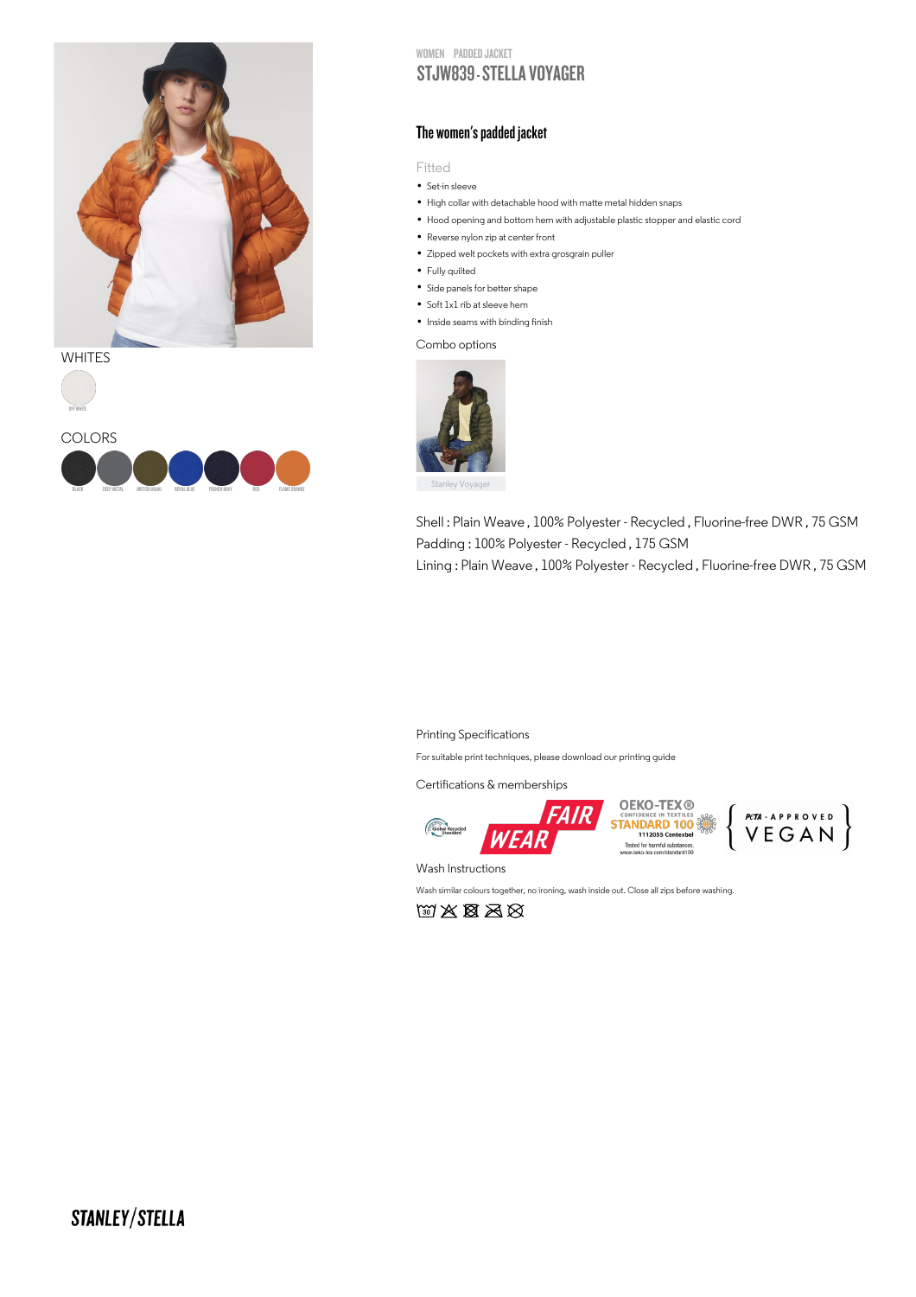

WHITES





WOMEN PADDED JACKET

# STJW839 - STELLA VOYAGER

### The women's padded jacket

Fitted

- ⊢1tted<br>• Set-in sleeve
- Set-in sleeve<br>• High collar with detachable hood with matte metal hidden snaps
- High collar with detachable hood with matte metal hidden snaps<br>• Hood opening and bottom hem with adjustable plastic stopper and elastic cord
- Hood opening and bottom hem<br>• Reverse nylon zip at center front
- Reverse nylon zip at center front<br>• Zipped welt pockets with extra grosgrain puller
- Zipped welt<br>• Fully quilted
- Fully quilted<br>• Side panels for better shape
- Side panels for better sha<br>• Soft 1x1 rib at sleeve hem
- Soft 1x1 rib at sleeve hem<br>• Inside seams with binding finish

### Combo options



Shell : Plain Weave , 100% Polyester - Recycled , Fluorine-free DWR , 75 GSM Padding : 100% Polyester - Recycled , 175 GSM Lining : Plain Weave , 100% Polyester - Recycled , Fluorine-free DWR , 75 GSM

#### Printing Specifications

For suitable print techniques, please download our printing guide

Certifications & memberships







 $\left\{\begin{array}{l} \scriptstyle \mathit{pen-Arproven} \\ \scriptstyle \mathit{VEGAN} \end{array}\right\}$ 

Wash Instructions

Wash similar colours together, no ironing, wash inside out. Close all zips before washing.

 $\text{W X B}$